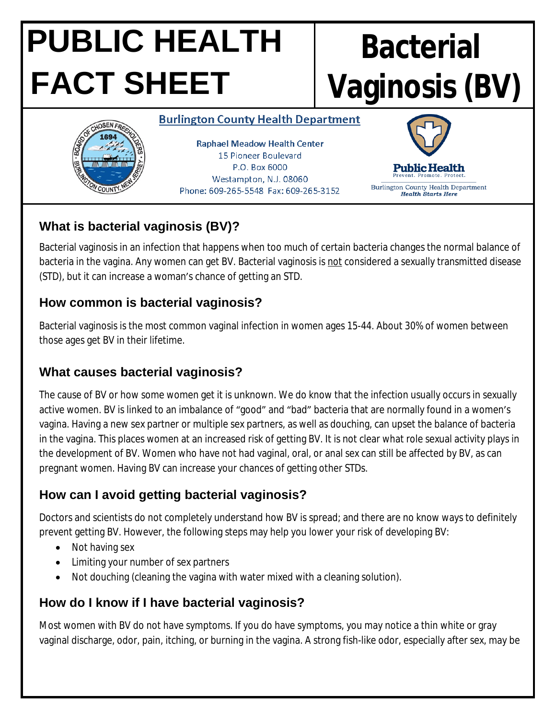# **PUBLIC HEALTH FACT SHEET**

# **Bacterial Vaginosis (BV)**

#### **Burlington County Health Department**



**Raphael Meadow Health Center** 15 Pioneer Boulevard P.O. Box 6000 Westampton, N.J. 08060 Phone: 609-265-5548 Fax: 609-265-3152



# **What is bacterial vaginosis (BV)?**

Bacterial vaginosis in an infection that happens when too much of certain bacteria changes the normal balance of bacteria in the vagina. Any women can get BV. Bacterial vaginosis is not considered a sexually transmitted disease (STD), but it can increase a woman's chance of getting an STD.

## **How common is bacterial vaginosis?**

Bacterial vaginosis is the most common vaginal infection in women ages 15-44. About 30% of women between those ages get BV in their lifetime.

## **What causes bacterial vaginosis?**

The cause of BV or how some women get it is unknown. We do know that the infection usually occurs in sexually active women. BV is linked to an imbalance of "good" and "bad" bacteria that are normally found in a women's vagina. Having a new sex partner or multiple sex partners, as well as douching, can upset the balance of bacteria in the vagina. This places women at an increased risk of getting BV. It is not clear what role sexual activity plays in the development of BV. Women who have not had vaginal, oral, or anal sex can still be affected by BV, as can pregnant women. Having BV can increase your chances of getting other STDs.

# **How can I avoid getting bacterial vaginosis?**

Doctors and scientists do not completely understand how BV is spread; and there are no know ways to definitely prevent getting BV. However, the following steps may help you lower your risk of developing BV:

- Not having sex
- Limiting your number of sex partners
- Not douching (cleaning the vagina with water mixed with a cleaning solution).

# **How do I know if I have bacterial vaginosis?**

Most women with BV do not have symptoms. If you do have symptoms, you may notice a thin white or gray vaginal discharge, odor, pain, itching, or burning in the vagina. A strong fish-like odor, especially after sex, may be